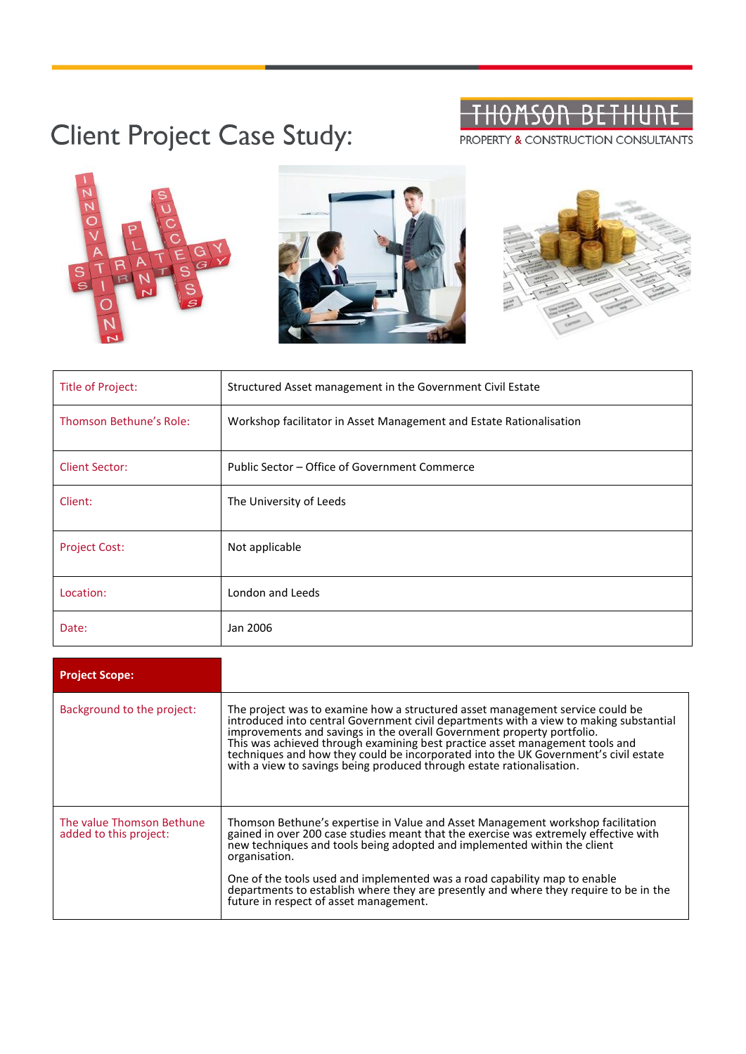| TUAMCAN DETUIINE   |  |  |
|--------------------|--|--|
| THUITSUIT BETHUITE |  |  |

## Client Project Case Study:

PROPERTY & CONSTRUCTION CONSULTANTS



| Title of Project:       | Structured Asset management in the Government Civil Estate          |
|-------------------------|---------------------------------------------------------------------|
| Thomson Bethune's Role: | Workshop facilitator in Asset Management and Estate Rationalisation |
| <b>Client Sector:</b>   | Public Sector – Office of Government Commerce                       |
| Client:                 | The University of Leeds                                             |
| <b>Project Cost:</b>    | Not applicable                                                      |
| Location:               | London and Leeds                                                    |
| Date:                   | Jan 2006                                                            |

| <b>Project Scope:</b>                               |                                                                                                                                                                                                                                                                                                                                                                                                                                                                                                   |
|-----------------------------------------------------|---------------------------------------------------------------------------------------------------------------------------------------------------------------------------------------------------------------------------------------------------------------------------------------------------------------------------------------------------------------------------------------------------------------------------------------------------------------------------------------------------|
| Background to the project:                          | The project was to examine how a structured asset management service could be<br>introduced into central Government civil departments with a view to making substantial<br>improvements and savings in the overall Government property portfolio.<br>This was achieved through examining best practice asset management tools and<br>techniques and how they could be incorporated into the UK Government's civil estate<br>with a view to savings being produced through estate rationalisation. |
| The value Thomson Bethune<br>added to this project: | Thomson Bethune's expertise in Value and Asset Management workshop facilitation<br>gained in over 200 case studies meant that the exercise was extremely effective with<br>new techniques and tools being adopted and implemented within the client<br>organisation.                                                                                                                                                                                                                              |
|                                                     | One of the tools used and implemented was a road capability map to enable<br>departments to establish where they are presently and where they require to be in the<br>future in respect of asset management.                                                                                                                                                                                                                                                                                      |